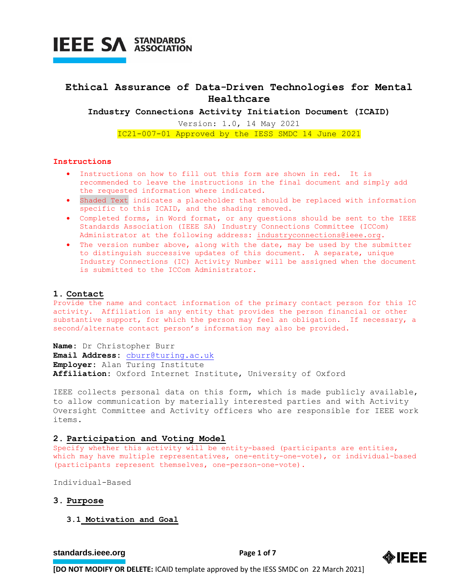

# **Ethical Assurance of Data-Driven Technologies for Mental Healthcare**

**Industry Connections Activity Initiation Document (ICAID)**

Version: 1.0, 14 May 2021 IC21-007-01 Approved by the IESS SMDC 14 June 2021

### **Instructions**

- Instructions on how to fill out this form are shown in red. It is recommended to leave the instructions in the final document and simply add the requested information where indicated.
- Shaded Text indicates a placeholder that should be replaced with information specific to this ICAID, and the shading removed.
- Completed forms, in Word format, or any questions should be sent to the IEEE Standards Association (IEEE SA) Industry Connections Committee (ICCom) Administrator at the following address: [industryconnections@ieee.org.](mailto:industryconnections@ieee.org)
- The version number above, along with the date, may be used by the submitter to distinguish successive updates of this document. A separate, unique Industry Connections (IC) Activity Number will be assigned when the document is submitted to the ICCom Administrator.

# **1. Contact**

Provide the name and contact information of the primary contact person for this IC activity. Affiliation is any entity that provides the person financial or other substantive support, for which the person may feel an obligation. If necessary, a second/alternate contact person's information may also be provided.

**Name:** Dr Christopher Burr **Email Address:** [cburr@turing.ac.uk](mailto:cburr@turing.ac.uk) **Employer:** Alan Turing Institute **Affiliation:** Oxford Internet Institute, University of Oxford

IEEE collects personal data on this form, which is made publicly available, to allow communication by materially interested parties and with Activity Oversight Committee and Activity officers who are responsible for IEEE work items.

## **2. Participation and Voting Model**

Specify whether this activity will be entity-based (participants are entities, which may have multiple representatives, one-entity-one-vote), or individual-based (participants represent themselves, one-person-one-vote).

Individual-Based

### **3. Purpose**

**3.1 Motivation and Goal**

**[standards.ieee.org](http://standards.ieee.org/)**<br> **Page 1 of 7** 

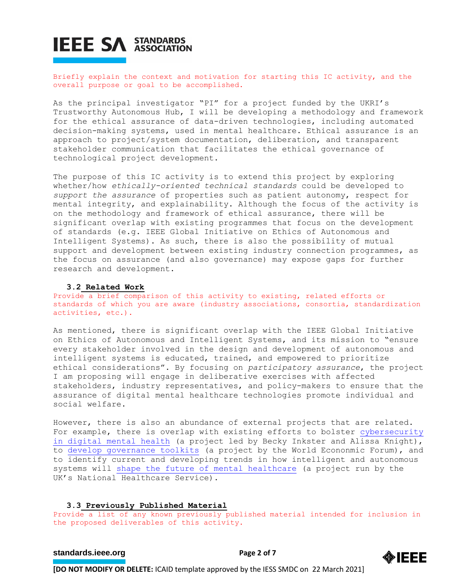Briefly explain the context and motivation for starting this IC activity, and the overall purpose or goal to be accomplished.

As the principal investigator "PI" for a project funded by the UKRI's Trustworthy Autonomous Hub, I will be developing a methodology and framework for the ethical assurance of data-driven technologies, including automated decision-making systems, used in mental healthcare. Ethical assurance is an approach to project/system documentation, deliberation, and transparent stakeholder communication that facilitates the ethical governance of technological project development.

The purpose of this IC activity is to extend this project by exploring whether/how *ethically-oriented technical standards* could be developed to *support the assurance* of properties such as patient autonomy, respect for mental integrity, and explainability. Although the focus of the activity is on the methodology and framework of ethical assurance, there will be significant overlap with existing programmes that focus on the development of standards (e.g. IEEE Global Initiative on Ethics of Autonomous and Intelligent Systems). As such, there is also the possibility of mutual support and development between existing industry connection programmes, as the focus on assurance (and also governance) may expose gaps for further research and development.

### **3.2 Related Work**

Provide a brief comparison of this activity to existing, related efforts or standards of which you are aware (industry associations, consortia, standardization activities, etc.).

As mentioned, there is significant overlap with the IEEE Global Initiative on Ethics of Autonomous and Intelligent Systems, and its mission to "ensure every stakeholder involved in the design and development of autonomous and intelligent systems is educated, trained, and empowered to prioritize ethical considerations". By focusing on *participatory assurance*, the project I am proposing will engage in deliberative exercises with affected stakeholders, industry representatives, and policy-makers to ensure that the assurance of digital mental healthcare technologies promote individual and social welfare.

However, there is also an abundance of external projects that are related. For example, there is overlap with existing efforts to bolster [cybersecurity](https://www.beckyinkster.com/cybersecuritybackground)  [in digital mental health](https://www.beckyinkster.com/cybersecuritybackground) (a project led by Becky Inkster and Alissa Knight), to [develop governance toolkits](https://www.weforum.org/whitepapers/global-governance-toolkit-for-digital-mental-health) (a project by the World Econonmic Forum), and to identify current and developing trends in how intelligent and autonomous systems will shape the future of [mental healthcare](https://topol.hee.nhs.uk/wp-content/uploads/HEE-Topol-Review-Mental-health-paper.pdf) (a project run by the UK's National Healthcare Service).

### **3.3 Previously Published Material**

Provide a list of any known previously published material intended for inclusion in the proposed deliverables of this activity.

# **[standards.ieee.org](http://standards.ieee.org/)**<br> **Page 2 of 7**

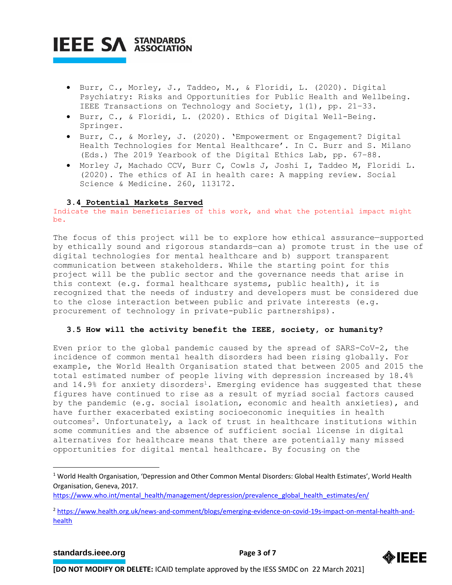- Burr, C., Morley, J., Taddeo, M., & Floridi, L. (2020). Digital Psychiatry: Risks and Opportunities for Public Health and Wellbeing. IEEE Transactions on Technology and Society, 1(1), pp. 21–33.
- Burr, C., & Floridi, L. (2020). Ethics of Digital Well-Being. Springer.
- Burr, C., & Morley, J. (2020). 'Empowerment or Engagement? Digital Health Technologies for Mental Healthcare'. In C. Burr and S. Milano (Eds.) The 2019 Yearbook of the Digital Ethics Lab, pp. 67–88.
- Morley J, Machado CCV, Burr C, Cowls J, Joshi I, Taddeo M, Floridi L. (2020). The ethics of AI in health care: A mapping review. Social Science & Medicine. 260, 113172.

# **3.4 Potential Markets Served**

Indicate the main beneficiaries of this work, and what the potential impact might be.

The focus of this project will be to explore how ethical assurance—supported by ethically sound and rigorous standards—can a) promote trust in the use of digital technologies for mental healthcare and b) support transparent communication between stakeholders. While the starting point for this project will be the public sector and the governance needs that arise in this context (e.g. formal healthcare systems, public health), it is recognized that the needs of industry and developers must be considered due to the close interaction between public and private interests (e.g. procurement of technology in private-public partnerships).

# **3.5 How will the activity benefit the IEEE, society, or humanity?**

Even prior to the global pandemic caused by the spread of SARS-CoV-2, the incidence of common mental health disorders had been rising globally. For example, the World Health Organisation stated that between 2005 and 2015 the total estimated number of people living with depression increased by 18.4% and  $14.9\%$  for anxiety disorders<sup>1</sup>. Emerging evidence has suggested that these figures have continued to rise as a result of myriad social factors caused by the pandemic (e.g. social isolation, economic and health anxieties), and have further exacerbated existing socioeconomic inequities in health outcomes<sup>2</sup>. Unfortunately, a lack of trust in healthcare institutions within some communities and the absence of sufficient social license in digital alternatives for healthcare means that there are potentially many missed opportunities for digital mental healthcare. By focusing on the

# **[standards.ieee.org](http://standards.ieee.org/)**<br> **Page 3 of 7**



<sup>&</sup>lt;sup>1</sup> World Health Organisation, 'Depression and Other Common Mental Disorders: Global Health Estimates', World Health Organisation, Geneva, 2017.

[https://www.who.int/mental\\_health/management/depression/prevalence\\_global\\_health\\_estimates/en/](https://www.who.int/mental_health/management/depression/prevalence_global_health_estimates/en/)

<sup>2</sup> [https://www.health.org.uk/news-and-comment/blogs/emerging-evidence-on-covid-19s-impact-on-mental-health-and](https://www.health.org.uk/news-and-comment/blogs/emerging-evidence-on-covid-19s-impact-on-mental-health-and-health)[health](https://www.health.org.uk/news-and-comment/blogs/emerging-evidence-on-covid-19s-impact-on-mental-health-and-health)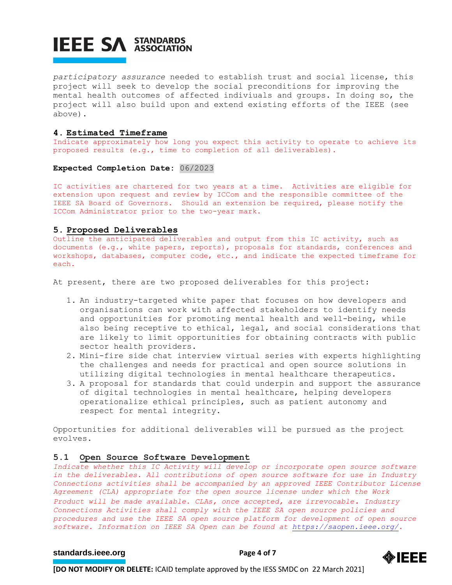*participatory assurance* needed to establish trust and social license, this project will seek to develop the social preconditions for improving the mental health outcomes of affected indiviuals and groups. In doing so, the project will also build upon and extend existing efforts of the IEEE (see above).

# **4. Estimated Timeframe**

Indicate approximately how long you expect this activity to operate to achieve its proposed results (e.g., time to completion of all deliverables).

## **Expected Completion Date:** 06/2023

IC activities are chartered for two years at a time. Activities are eligible for extension upon request and review by ICCom and the responsible committee of the IEEE SA Board of Governors. Should an extension be required, please notify the ICCom Administrator prior to the two-year mark.

# **5. Proposed Deliverables**

Outline the anticipated deliverables and output from this IC activity, such as documents (e.g., white papers, reports), proposals for standards, conferences and workshops, databases, computer code, etc., and indicate the expected timeframe for each.

At present, there are two proposed deliverables for this project:

- 1. An industry-targeted white paper that focuses on how developers and organisations can work with affected stakeholders to identify needs and opportunities for promoting mental health and well-being, while also being receptive to ethical, legal, and social considerations that are likely to limit opportunities for obtaining contracts with public sector health providers.
- 2. Mini-fire side chat interview virtual series with experts highlighting the challenges and needs for practical and open source solutions in utilizing digital technologies in mental healthcare therapeutics.
- 3. A proposal for standards that could underpin and support the assurance of digital technologies in mental healthcare, helping developers operationalize ethical principles, such as patient autonomy and respect for mental integrity.

Opportunities for additional deliverables will be pursued as the project evolves.

# **5.1 Open Source Software Development**

*Indicate whether this IC Activity will develop or incorporate open source software in the deliverables. All contributions of open source software for use in Industry Connections activities shall be accompanied by an approved IEEE Contributor License Agreement (CLA) appropriate for the open source license under which the Work Product will be made available. CLAs, once accepted, are irrevocable. Industry Connections Activities shall comply with the IEEE SA open source policies and procedures and use the IEEE SA open source platform for development of open source software. Information on IEEE SA Open can be found at [https://saopen.ieee.org/.](https://saopen.ieee.org/)* 

# **[standards.ieee.org](http://standards.ieee.org/) EXECUTE: Page 4 of 7**

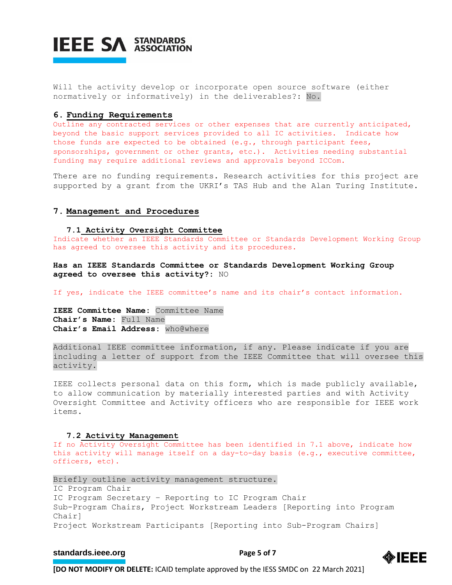

Will the activity develop or incorporate open source software (either normatively or informatively) in the deliverables?: No.

## **6. Funding Requirements**

Outline any contracted services or other expenses that are currently anticipated, beyond the basic support services provided to all IC activities. Indicate how those funds are expected to be obtained (e.g., through participant fees, sponsorships, government or other grants, etc.). Activities needing substantial funding may require additional reviews and approvals beyond ICCom.

There are no funding requirements. Research activities for this project are supported by a grant from the UKRI's TAS Hub and the Alan Turing Institute.

## **7. Management and Procedures**

**7.1 Activity Oversight Committee**

Indicate whether an IEEE Standards Committee or Standards Development Working Group has agreed to oversee this activity and its procedures.

**Has an IEEE Standards Committee or Standards Development Working Group agreed to oversee this activity?:** NO

If yes, indicate the IEEE committee's name and its chair's contact information.

**IEEE Committee Name:** Committee Name **Chair's Name:** Full Name **Chair's Email Address:** who@where

Additional IEEE committee information, if any. Please indicate if you are including a letter of support from the IEEE Committee that will oversee this activity.

IEEE collects personal data on this form, which is made publicly available, to allow communication by materially interested parties and with Activity Oversight Committee and Activity officers who are responsible for IEEE work items.

#### **7.2 Activity Management**

If no Activity Oversight Committee has been identified in 7.1 above, indicate how this activity will manage itself on a day-to-day basis (e.g., executive committee, officers, etc).

Briefly outline activity management structure. IC Program Chair IC Program Secretary – Reporting to IC Program Chair Sub-Program Chairs, Project Workstream Leaders [Reporting into Program Chair] Project Workstream Participants [Reporting into Sub-Program Chairs]

# **[standards.ieee.org](http://standards.ieee.org/) EXECUTE: Page 5 of 7**

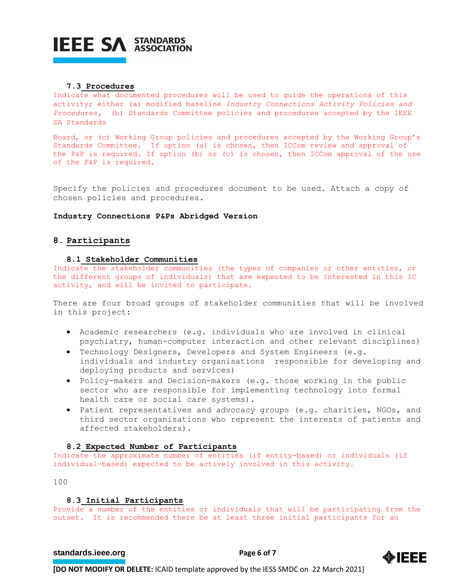

#### **7.3 Procedures**

Indicate what documented procedures will be used to guide the operations of this activity; either (a) modified baseline *Industry Connections Activity Policies and Procedures,* (b) Standards Committee policies and procedures accepted by the IEEE SA Standards

Board, or (c) Working Group policies and procedures accepted by the Working Group's Standards Committee. If option (a) is chosen, then ICCom review and approval of the P&P is required. If option (b) or (c) is chosen, then ICCom approval of the use of the P&P is required.

Specify the policies and procedures document to be used. Attach a copy of chosen policies and procedures.

#### **Industry Connections P&Ps Abridged Version**

# **8. Participants**

# **8.1 Stakeholder Communities**

Indicate the stakeholder communities (the types of companies or other entities, or the different groups of individuals) that are expected to be interested in this IC activity, and will be invited to participate.

There are four broad groups of stakeholder communities that will be involved in this project:

- Academic researchers (e.g. individuals who are involved in clinical psychiatry, human-computer interaction and other relevant disciplines)
- Technology Designers, Developers and System Engineers (e.g. individuals and industry organisations responsible for developing and deploying products and services)
- Policy-makers and Decision-makers (e.g. those working in the public sector who are responsible for implementing technology into formal health care or social care systems).
- Patient representatives and advocacy groups (e.g. charities, NGOs, and third sector organisations who represent the interests of patients and affected stakeholders).

# **8.2 Expected Number of Participants**

Indicate the approximate number of entities (if entity-based) or individuals (if individual-based) expected to be actively involved in this activity.

100

### **8.3 Initial Participants**

Provide a number of the entities or individuals that will be participating from the outset. It is recommended there be at least three initial participants for an

# **[standards.ieee.org](http://standards.ieee.org/) EXECUTE: Page 6 of 7**